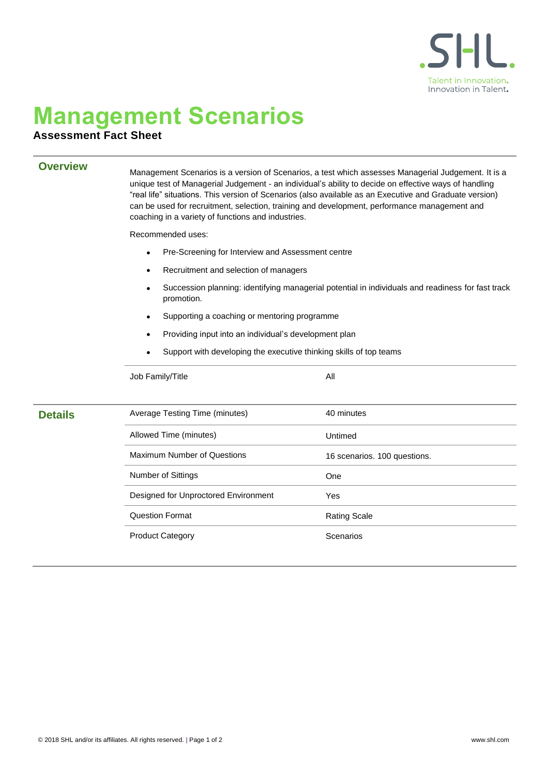

## **Management Scenarios**

## **Assessment Fact Sheet**

**Overview** Management Scenarios is a version of Scenarios, a test which assesses Managerial Judgement. It is a unique test of Managerial Judgement - an individual's ability to decide on effective ways of handling "real life" situations. This version of Scenarios (also available as an Executive and Graduate version) can be used for recruitment, selection, training and development, performance management and coaching in a variety of functions and industries.

Recommended uses:

- Pre-Screening for Interview and Assessment centre
- Recruitment and selection of managers
- Succession planning: identifying managerial potential in individuals and readiness for fast track promotion.
- Supporting a coaching or mentoring programme
- Providing input into an individual's development plan
- Support with developing the executive thinking skills of top teams

|                | Job Family/Title                     | All                          |  |
|----------------|--------------------------------------|------------------------------|--|
|                |                                      |                              |  |
| <b>Details</b> | Average Testing Time (minutes)       | 40 minutes                   |  |
|                | Allowed Time (minutes)               | Untimed                      |  |
|                | <b>Maximum Number of Questions</b>   | 16 scenarios. 100 questions. |  |
|                | <b>Number of Sittings</b>            | One                          |  |
|                | Designed for Unproctored Environment | Yes                          |  |
|                | <b>Question Format</b>               | <b>Rating Scale</b>          |  |
|                | <b>Product Category</b>              | Scenarios                    |  |
|                |                                      |                              |  |